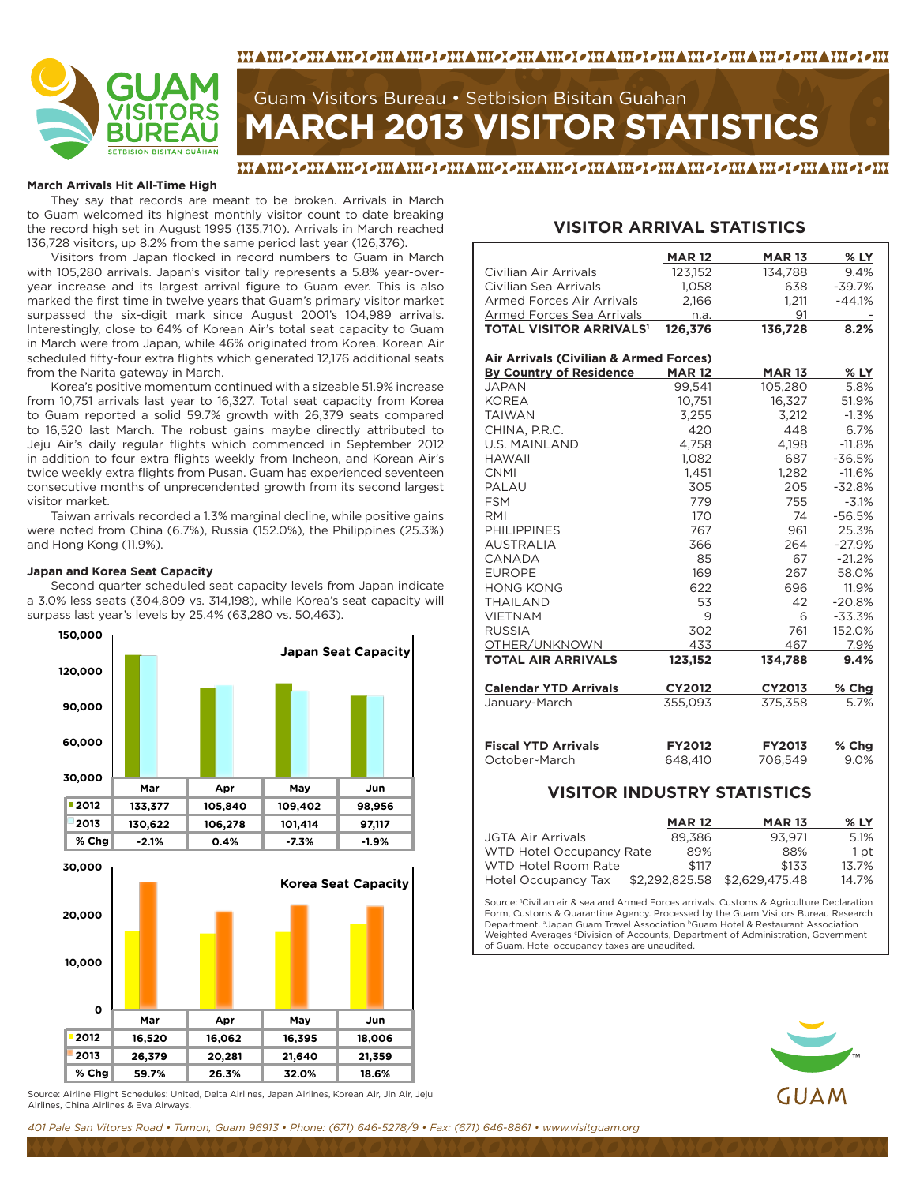



# **MARCH 2013 VISITOR STATISTICS** Guam Visitors Bureau • Setbision Bisitan Guahan

#### MAMOLOMAMOLOMAMOLOMAMOLOMAMOLOMAMOLOMAMOLOMAMOLOMAMOLOM

#### **March Arrivals Hit All-Time High**

They say that records are meant to be broken. Arrivals in March to Guam welcomed its highest monthly visitor count to date breaking the record high set in August 1995 (135,710). Arrivals in March reached 136,728 visitors, up 8.2% from the same period last year (126,376).

Visitors from Japan flocked in record numbers to Guam in March with 105,280 arrivals. Japan's visitor tally represents a 5.8% year-overyear increase and its largest arrival figure to Guam ever. This is also marked the first time in twelve years that Guam's primary visitor market surpassed the six-digit mark since August 2001's 104,989 arrivals. Interestingly, close to 64% of Korean Air's total seat capacity to Guam in March were from Japan, while 46% originated from Korea. Korean Air scheduled fifty-four extra flights which generated 12,176 additional seats from the Narita gateway in March.

Korea's positive momentum continued with a sizeable 51.9% increase from 10,751 arrivals last year to 16,327. Total seat capacity from Korea to Guam reported a solid 59.7% growth with 26,379 seats compared to 16,520 last March. The robust gains maybe directly attributed to Jeju Air's daily regular flights which commenced in September 2012 in addition to four extra flights weekly from Incheon, and Korean Air's twice weekly extra flights from Pusan. Guam has experienced seventeen consecutive months of unprecendented growth from its second largest visitor market.

Taiwan arrivals recorded a 1.3% marginal decline, while positive gains were noted from China (6.7%), Russia (152.0%), the Philippines (25.3%) and Hong Kong (11.9%).

#### **Japan and Korea Seat Capacity**

Second quarter scheduled seat capacity levels from Japan indicate a 3.0% less seats (304,809 vs. 314,198), while Korea's seat capacity will surpass last year's levels by 25.4% (63,280 vs. 50,463).



Source: Airline Flight Schedules: United, Delta Airlines, Japan Airlines, Korean Air, Jin Air, Jeju Airlines, China Airlines & Eva Airways.

### **VISITOR ARRIVAL STATISTICS**

|                                           | <b>MAR12</b>  | <b>MAR13</b>  | $%$ LY   |
|-------------------------------------------|---------------|---------------|----------|
| Civilian Air Arrivals                     | 123,152       | 134,788       | 9.4%     |
| Civilian Sea Arrivals                     | 1.058         | 638           | $-39.7%$ |
| <b>Armed Forces Air Arrivals</b>          | 2,166         | 1,211         | $-44.1%$ |
| <b>Armed Forces Sea Arrivals</b>          | n.a.          | 91            |          |
| <b>TOTAL VISITOR ARRIVALS<sup>1</sup></b> | 126,376       | 136,728       | 8.2%     |
|                                           |               |               |          |
| Air Arrivals (Civilian & Armed Forces)    |               |               |          |
| <b>By Country of Residence</b>            | <b>MAR12</b>  | <b>MAR13</b>  | $%$ LY   |
| <b>JAPAN</b>                              | 99,541        | 105,280       | 5.8%     |
| <b>KOREA</b>                              | 10,751        | 16.327        | 51.9%    |
| <b>TAIWAN</b>                             | 3,255         | 3,212         | $-1.3%$  |
| CHINA, P.R.C.                             | 420           | 448           | 6.7%     |
| <b>U.S. MAINLAND</b>                      | 4,758         | 4,198         | $-11.8%$ |
| <b>HAWAII</b>                             | 1.082         | 687           | $-36.5%$ |
| <b>CNMI</b>                               | 1,451         | 1,282         | $-11.6%$ |
| PALAU                                     | 305           | 205           | $-32.8%$ |
| <b>FSM</b>                                | 779           | 755           | $-3.1%$  |
| <b>RMI</b>                                | 170           | 74            | $-56.5%$ |
| <b>PHILIPPINES</b>                        | 767           | 961           | 25.3%    |
| <b>AUSTRALIA</b>                          | 366           | 264           | $-27.9%$ |
| CANADA                                    | 85            | 67            | $-21.2%$ |
| <b>EUROPE</b>                             | 169           | 267           | 58.0%    |
| <b>HONG KONG</b>                          | 622           | 696           | 11.9%    |
| <b>THAILAND</b>                           | 53            | 42            | $-20.8%$ |
| <b>VIETNAM</b>                            | 9             | 6             | $-33.3%$ |
| <b>RUSSIA</b>                             | 302           | 761           | 152.0%   |
| OTHER/UNKNOWN                             | 433           | 467           | 7.9%     |
| <b>TOTAL AIR ARRIVALS</b>                 | 123,152       | 134,788       | 9.4%     |
| <b>Calendar YTD Arrivals</b>              | <b>CY2012</b> | <b>CY2013</b> | $%$ Chg  |
| January-March                             | 355,093       | 375,358       | 5.7%     |
|                                           |               |               |          |
| <b>Fiscal YTD Arrivals</b>                | <b>FY2012</b> | <b>FY2013</b> | $%$ Chg  |
| October-March                             | 648.410       | 706,549       | 9.0%     |

#### **VISITOR INDUSTRY STATISTICS**

|                          | <b>MAR 12</b> | <b>MAR 13</b>                 | % LY  |
|--------------------------|---------------|-------------------------------|-------|
| JGTA Air Arrivals        | 89.386        | 93.971                        | 5.1%  |
| WTD Hotel Occupancy Rate | 89%           | 88%                           | 1 pt  |
| WTD Hotel Room Rate      | \$117         | \$133                         | 13.7% |
| Hotel Occupancy Tax      |               | \$2,292,825.58 \$2,629,475.48 | 14.7% |

Source: 1 Civilian air & sea and Armed Forces arrivals. Customs & Agriculture Declaration Form, Customs & Quarantine Agency. Processed by the Guam Visitors Bureau Research Department. <sup>a</sup>Japan Guam Travel Association <sup>b</sup>Guam Hotel & Restaurant Association Weighted Averages *'Division of Accounts*, Department of Administration, Government of Guam. Hotel occupancy taxes are unaudited.

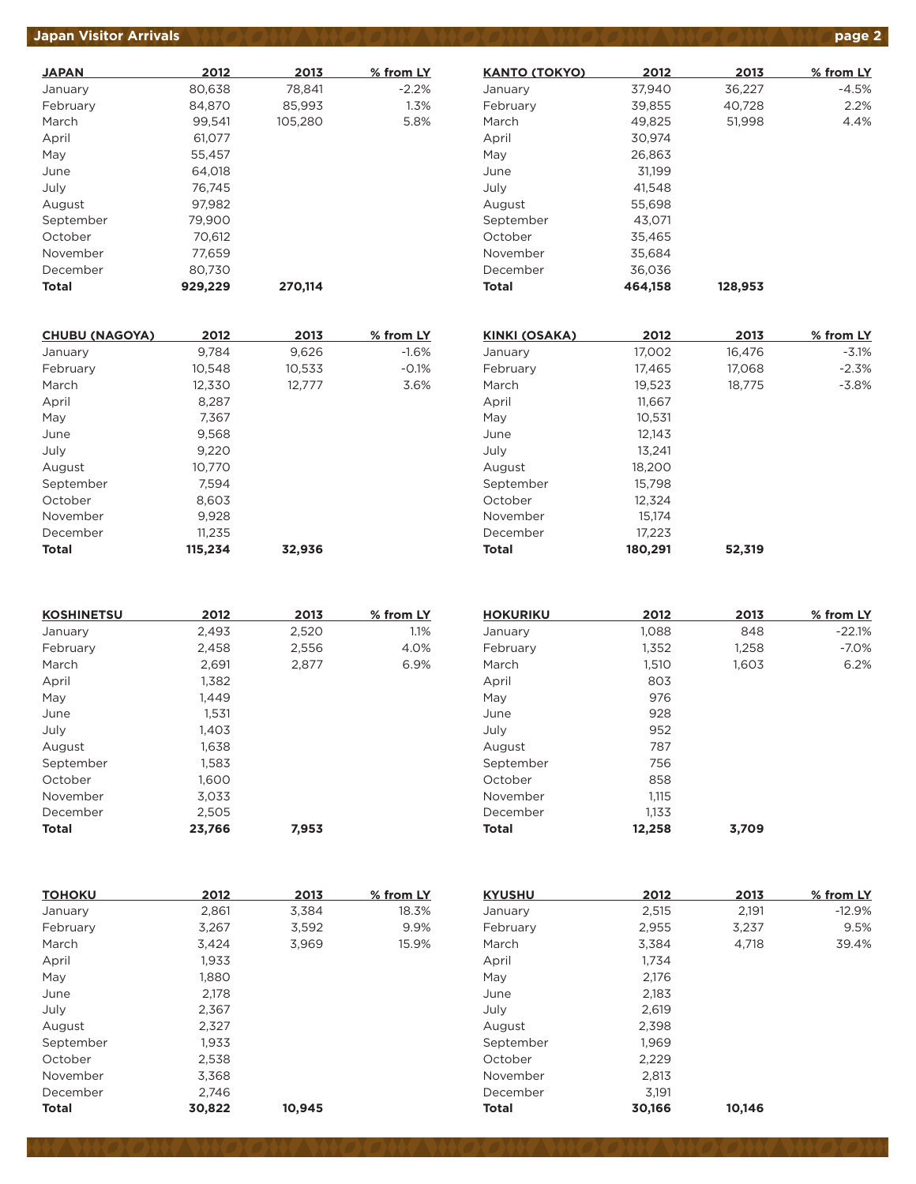### *Japan Visitor Arrivals <b>page 2*

| <b>JAPAN</b> | 2012    | 2013    | % from LY |
|--------------|---------|---------|-----------|
| January      | 80,638  | 78,841  | $-2.2%$   |
| February     | 84,870  | 85,993  | 1.3%      |
| March        | 99.541  | 105.280 | 5.8%      |
| April        | 61,077  |         |           |
| May          | 55.457  |         |           |
| June         | 64.018  |         |           |
| July         | 76,745  |         |           |
| August       | 97.982  |         |           |
| September    | 79,900  |         |           |
| October      | 70,612  |         |           |
| November     | 77,659  |         |           |
| December     | 80.730  |         |           |
| <b>Total</b> | 929,229 | 270.114 |           |

| <b>CHUBU (NAGOYA)</b> | 2012    | 2013   | % from LY |
|-----------------------|---------|--------|-----------|
| January               | 9.784   | 9,626  | $-1.6%$   |
| February              | 10,548  | 10,533 | $-0.1%$   |
| March                 | 12,330  | 12.777 | 3.6%      |
| April                 | 8,287   |        |           |
| May                   | 7.367   |        |           |
| June                  | 9,568   |        |           |
| July                  | 9,220   |        |           |
| August                | 10,770  |        |           |
| September             | 7,594   |        |           |
| October               | 8,603   |        |           |
| November              | 9,928   |        |           |
| December              | 11,235  |        |           |
| <b>Total</b>          | 115.234 | 32.936 |           |

| <b>KOSHINETSU</b> | 2012   | 2013  | % from LY |
|-------------------|--------|-------|-----------|
| January           | 2,493  | 2,520 | 1.1%      |
| February          | 2,458  | 2,556 | 4.0%      |
| March             | 2,691  | 2,877 | 6.9%      |
| April             | 1,382  |       |           |
| May               | 1.449  |       |           |
| June              | 1,531  |       |           |
| July              | 1,403  |       |           |
| August            | 1.638  |       |           |
| September         | 1,583  |       |           |
| October           | 1,600  |       |           |
| November          | 3,033  |       |           |
| December          | 2,505  |       |           |
| <b>Total</b>      | 23,766 | 7,953 |           |

| <b>HOKURIKU</b> | 2012   | 2013  | % from LY |
|-----------------|--------|-------|-----------|
| January         | 1,088  | 848   | $-22.1%$  |
| February        | 1,352  | 1,258 | $-7.0%$   |
| March           | 1,510  | 1,603 | 6.2%      |
| April           | 803    |       |           |
| May             | 976    |       |           |
| June            | 928    |       |           |
| July            | 952    |       |           |
| August          | 787    |       |           |
| September       | 756    |       |           |
| October         | 858    |       |           |
| November        | 1.115  |       |           |
| December        | 1,133  |       |           |
| <b>Total</b>    | 12,258 | 3,709 |           |

| ΤΟΗΟΚυ    | 2012   | 2013   | % from LY | <b>KYUSHU</b> | 2012   | 2013   | % from LY |
|-----------|--------|--------|-----------|---------------|--------|--------|-----------|
| January   | 2,861  | 3,384  | 18.3%     | January       | 2,515  | 2,191  | $-12.9%$  |
| February  | 3,267  | 3,592  | 9.9%      | February      | 2,955  | 3,237  | 9.5%      |
| March     | 3,424  | 3,969  | 15.9%     | March         | 3,384  | 4,718  | 39.4%     |
| April     | 1,933  |        |           | April         | 1,734  |        |           |
| May       | 1,880  |        |           | May           | 2,176  |        |           |
| June      | 2,178  |        |           | June          | 2,183  |        |           |
| July      | 2,367  |        |           | July          | 2,619  |        |           |
| August    | 2,327  |        |           | August        | 2,398  |        |           |
| September | 1,933  |        |           | September     | 1,969  |        |           |
| October   | 2.538  |        |           | October       | 2,229  |        |           |
| November  | 3,368  |        |           | November      | 2,813  |        |           |
| December  | 2.746  |        |           | December      | 3,191  |        |           |
| Total     | 30,822 | 10,945 |           | Total         | 30,166 | 10,146 |           |

| <b>KANTO (TOKYO)</b> | 2012    | 2013    | % from LY |
|----------------------|---------|---------|-----------|
| January              | 37,940  | 36,227  | $-4.5%$   |
| February             | 39,855  | 40.728  | 2.2%      |
| March                | 49,825  | 51,998  | 4.4%      |
| April                | 30,974  |         |           |
| May                  | 26.863  |         |           |
| June                 | 31.199  |         |           |
| July                 | 41,548  |         |           |
| August               | 55,698  |         |           |
| September            | 43.071  |         |           |
| October              | 35,465  |         |           |
| November             | 35,684  |         |           |
| December             | 36.036  |         |           |
| Total                | 464.158 | 128.953 |           |
|                      |         |         |           |

| KINKI (OSAKA) | 2012    | 2013   | % from LY |
|---------------|---------|--------|-----------|
| January       | 17,002  | 16,476 | $-3.1%$   |
| February      | 17,465  | 17,068 | $-2.3%$   |
| March         | 19,523  | 18,775 | $-3.8%$   |
| April         | 11,667  |        |           |
| May           | 10,531  |        |           |
| June          | 12,143  |        |           |
| July          | 13.241  |        |           |
| August        | 18.200  |        |           |
| September     | 15,798  |        |           |
| October       | 12,324  |        |           |
| November      | 15.174  |        |           |
| December      | 17,223  |        |           |
| <b>Total</b>  | 180,291 | 52.319 |           |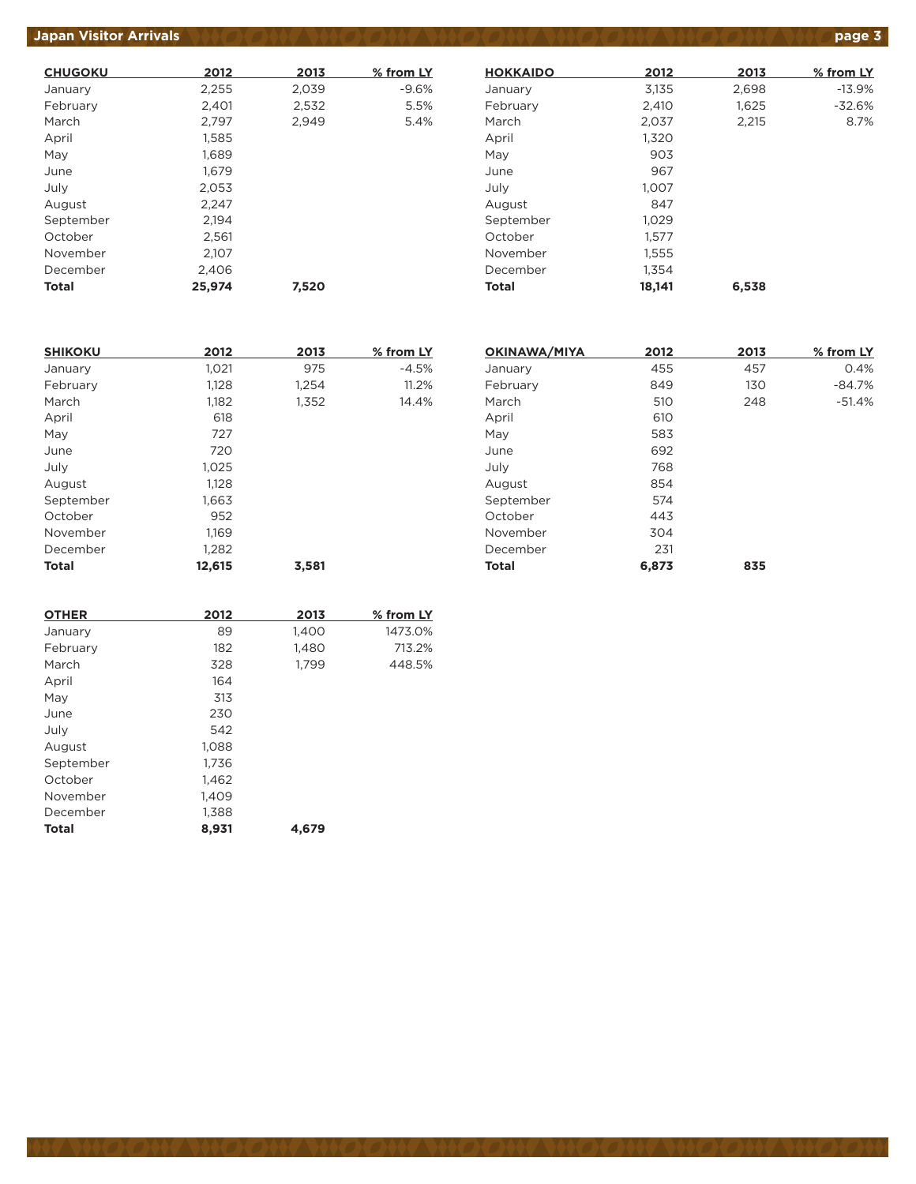# **Japan Visitor Arrivals page 3**

| <b>CHUGOKU</b> | 2012   | 2013  | % from LY |
|----------------|--------|-------|-----------|
| January        | 2,255  | 2,039 | $-9.6%$   |
| February       | 2,401  | 2,532 | 5.5%      |
| March          | 2,797  | 2.949 | 5.4%      |
| April          | 1,585  |       |           |
| May            | 1,689  |       |           |
| June           | 1,679  |       |           |
| July           | 2,053  |       |           |
| August         | 2.247  |       |           |
| September      | 2,194  |       |           |
| October        | 2,561  |       |           |
| November       | 2,107  |       |           |
| December       | 2,406  |       |           |
| Total          | 25.974 | 7.520 |           |

| <b>HOKKAIDO</b> | 2012   | 2013  | % from LY |
|-----------------|--------|-------|-----------|
| January         | 3,135  | 2,698 | $-13.9%$  |
| February        | 2,410  | 1,625 | $-32.6%$  |
| March           | 2,037  | 2,215 | 8.7%      |
| April           | 1,320  |       |           |
| May             | 903    |       |           |
| June            | 967    |       |           |
| July            | 1,007  |       |           |
| August          | 847    |       |           |
| September       | 1.029  |       |           |
| October         | 1.577  |       |           |
| November        | 1,555  |       |           |
| December        | 1.354  |       |           |
| Total           | 18.141 | 6.538 |           |

| <b>SHIKOKU</b> | 2012   | 2013  | % from LY |
|----------------|--------|-------|-----------|
| January        | 1,021  | 975   | $-4.5%$   |
| February       | 1,128  | 1,254 | 11.2%     |
| March          | 1,182  | 1,352 | 14.4%     |
| April          | 618    |       |           |
| May            | 727    |       |           |
| June           | 720    |       |           |
| July           | 1,025  |       |           |
| August         | 1.128  |       |           |
| September      | 1,663  |       |           |
| October        | 952    |       |           |
| November       | 1,169  |       |           |
| December       | 1,282  |       |           |
| Total          | 12,615 | 3,581 |           |

| 2012  | 2013 | % from LY |
|-------|------|-----------|
| 455   | 457  | 0.4%      |
| 849   | 130  | $-84.7%$  |
| 510   | 248  | $-51.4%$  |
| 610   |      |           |
| 583   |      |           |
| 692   |      |           |
| 768   |      |           |
| 854   |      |           |
| 574   |      |           |
| 443   |      |           |
| 304   |      |           |
| 231   |      |           |
| 6,873 | 835  |           |
|       |      |           |

| 2012  | 2013  | % from LY |
|-------|-------|-----------|
| 89    | 1,400 | 1473.0%   |
| 182   | 1,480 | 713.2%    |
| 328   | 1,799 | 448.5%    |
| 164   |       |           |
| 313   |       |           |
| 230   |       |           |
| 542   |       |           |
| 1,088 |       |           |
| 1,736 |       |           |
| 1,462 |       |           |
| 1,409 |       |           |
| 1,388 |       |           |
| 8,931 | 4.679 |           |
|       |       |           |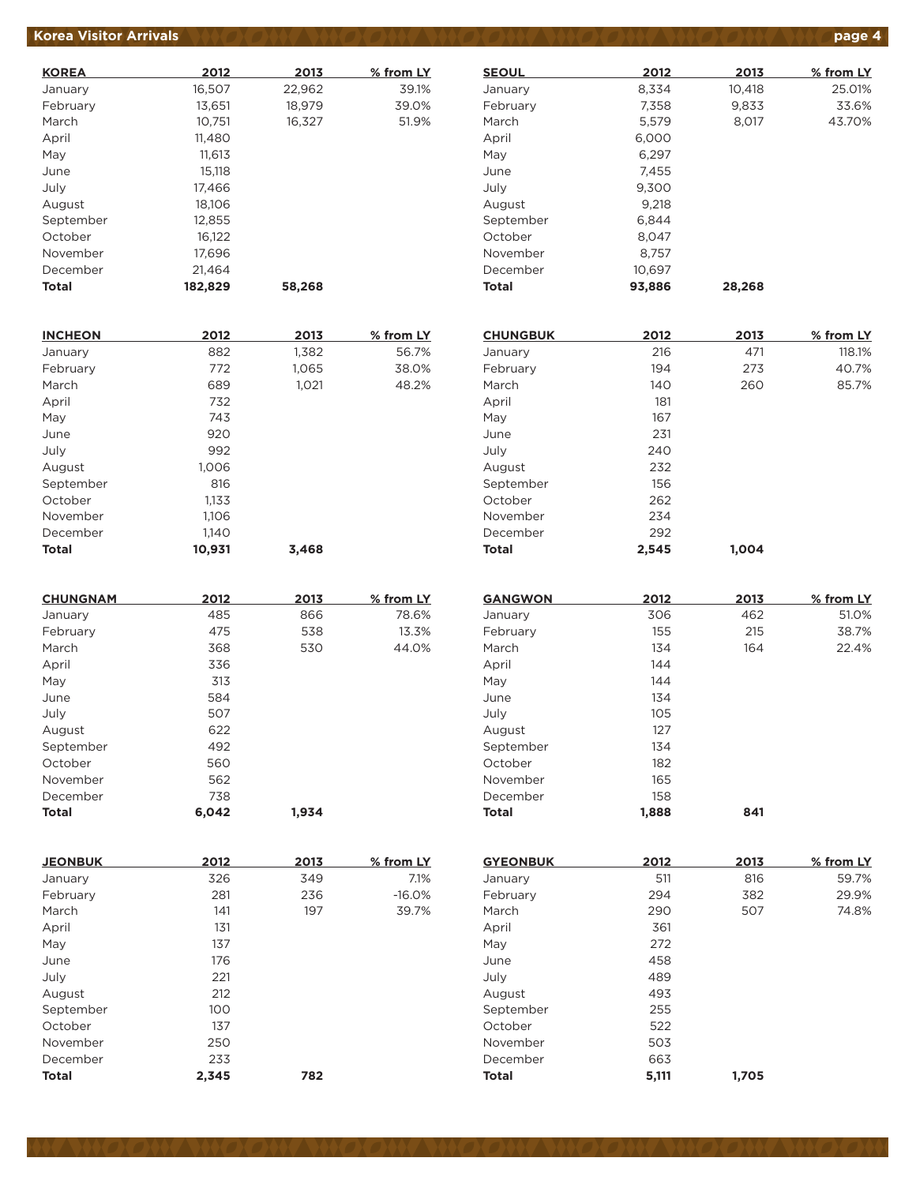## **Korea Visitor Arrivals page 4**

| <b>KOREA</b> | 2012    | 2013   | % from LY |
|--------------|---------|--------|-----------|
| January      | 16,507  | 22,962 | 39.1%     |
| February     | 13,651  | 18.979 | 39.0%     |
| March        | 10,751  | 16,327 | 51.9%     |
| April        | 11,480  |        |           |
| May          | 11.613  |        |           |
| June         | 15,118  |        |           |
| July         | 17,466  |        |           |
| August       | 18.106  |        |           |
| September    | 12,855  |        |           |
| October      | 16,122  |        |           |
| November     | 17,696  |        |           |
| December     | 21,464  |        |           |
| Total        | 182.829 | 58,268 |           |

| <b>INCHEON</b> | 2012   | 2013  | % from LY |
|----------------|--------|-------|-----------|
| January        | 882    | 1,382 | 56.7%     |
| February       | 772    | 1,065 | 38.0%     |
| March          | 689    | 1,021 | 48.2%     |
| April          | 732    |       |           |
| May            | 743    |       |           |
| June           | 920    |       |           |
| July           | 992    |       |           |
| August         | 1,006  |       |           |
| September      | 816    |       |           |
| October        | 1,133  |       |           |
| November       | 1,106  |       |           |
| December       | 1,140  |       |           |
| <b>Total</b>   | 10,931 | 3.468 |           |

| <b>CHUNGNAM</b> | 2012  | 2013  | % from LY |
|-----------------|-------|-------|-----------|
| January         | 485   | 866   | 78.6%     |
| February        | 475   | 538   | 13.3%     |
| March           | 368   | 530   | 44.0%     |
| April           | 336   |       |           |
| May             | 313   |       |           |
| June            | 584   |       |           |
| July            | 507   |       |           |
| August          | 622   |       |           |
| September       | 492   |       |           |
| October         | 560   |       |           |
| November        | 562   |       |           |
| December        | 738   |       |           |
| <b>Total</b>    | 6.042 | 1.934 |           |

| <b>JEONBUK</b> | 2012  | 2013 | % from LY |
|----------------|-------|------|-----------|
| January        | 326   | 349  | 7.1%      |
| February       | 281   | 236  | $-16.0%$  |
| March          | 141   | 197  | 39.7%     |
| April          | 131   |      |           |
| May            | 137   |      |           |
| June           | 176   |      |           |
| July           | 221   |      |           |
| August         | 212   |      |           |
| September      | 100   |      |           |
| October        | 137   |      |           |
| November       | 250   |      |           |
| December       | 233   |      |           |
| <b>Total</b>   | 2,345 | 782  |           |

| <b>SEOUL</b> | 2012   | 2013   | % from LY |
|--------------|--------|--------|-----------|
| January      | 8,334  | 10,418 | 25.01%    |
| February     | 7,358  | 9,833  | 33.6%     |
| March        | 5,579  | 8,017  | 43.70%    |
| April        | 6,000  |        |           |
| May          | 6,297  |        |           |
| June         | 7.455  |        |           |
| July         | 9,300  |        |           |
| August       | 9,218  |        |           |
| September    | 6,844  |        |           |
| October      | 8,047  |        |           |
| November     | 8.757  |        |           |
| December     | 10,697 |        |           |
| Total        | 93.886 | 28,268 |           |

| <b>CHUNGBUK</b> | 2012  | 2013  | % from LY |
|-----------------|-------|-------|-----------|
| January         | 216   | 471   | 118.1%    |
| February        | 194   | 273   | 40.7%     |
| March           | 140   | 260   | 85.7%     |
| April           | 181   |       |           |
| May             | 167   |       |           |
| June            | 231   |       |           |
| July            | 240   |       |           |
| August          | 232   |       |           |
| September       | 156   |       |           |
| October         | 262   |       |           |
| November        | 234   |       |           |
| December        | 292   |       |           |
| <b>Total</b>    | 2,545 | 1.004 |           |

| <b>GANGWON</b> | 2012  | 2013 | % from LY |
|----------------|-------|------|-----------|
| January        | 306   | 462  | 51.0%     |
| February       | 155   | 215  | 38.7%     |
| March          | 134   | 164  | 22.4%     |
| April          | 144   |      |           |
| May            | 144   |      |           |
| June           | 134   |      |           |
| July           | 105   |      |           |
| August         | 127   |      |           |
| September      | 134   |      |           |
| October        | 182   |      |           |
| November       | 165   |      |           |
| December       | 158   |      |           |
| <b>Total</b>   | 1.888 | 841  |           |

| <b>GYEONBUK</b> | 2012  | 2013  | % from LY |
|-----------------|-------|-------|-----------|
| January         | 511   | 816   | 59.7%     |
| February        | 294   | 382   | 29.9%     |
| March           | 290   | 507   | 74.8%     |
| April           | 361   |       |           |
| May             | 272   |       |           |
| June            | 458   |       |           |
| July            | 489   |       |           |
| August          | 493   |       |           |
| September       | 255   |       |           |
| October         | 522   |       |           |
| November        | 503   |       |           |
| December        | 663   |       |           |
| <b>Total</b>    | 5,111 | 1.705 |           |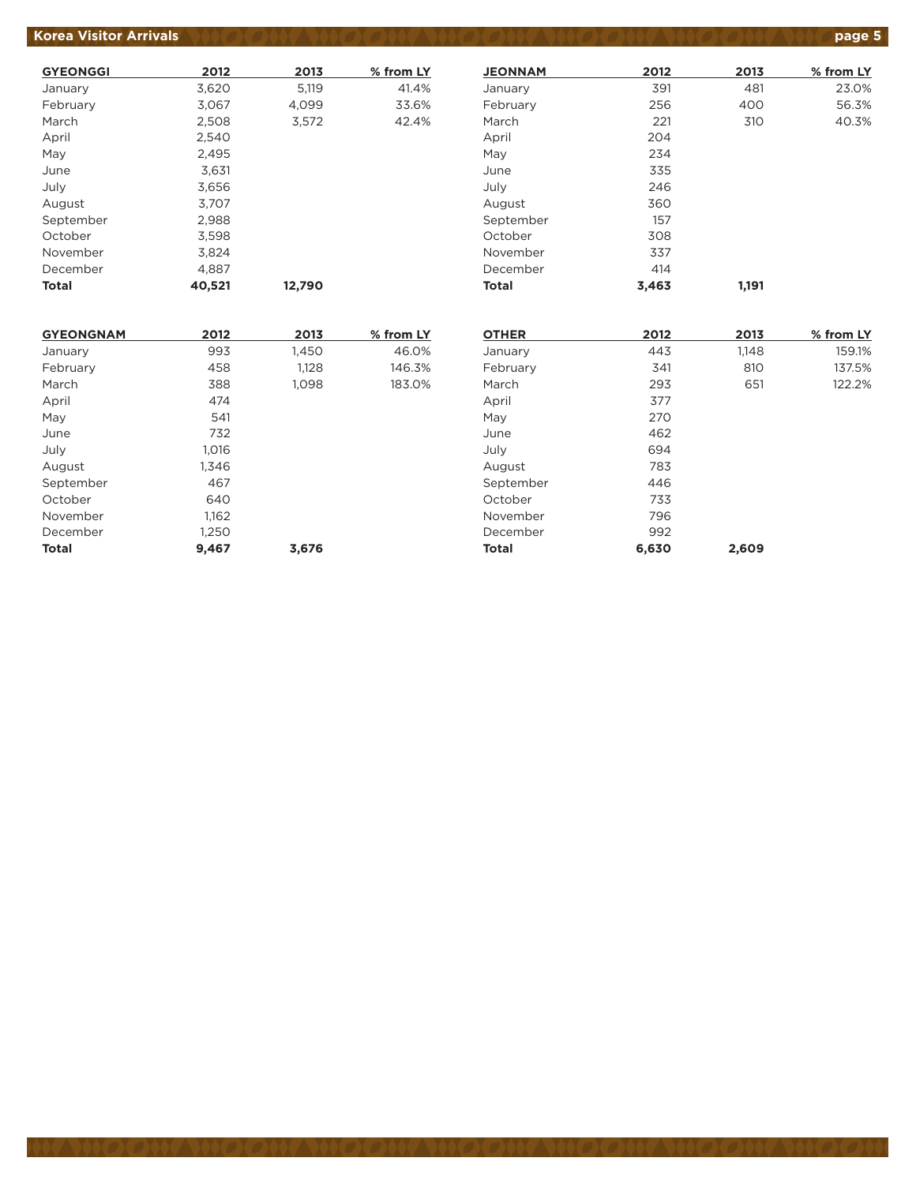## **Korea Visitor Arrivals product to the state of the Second ANGLONS (DANGLONS CONSTRUCT) age 5**

| <b>GYEONGGI</b> | 2012   | 2013   | % from LY |
|-----------------|--------|--------|-----------|
| January         | 3,620  | 5,119  | 41.4%     |
| February        | 3,067  | 4,099  | 33.6%     |
| March           | 2,508  | 3,572  | 42.4%     |
| April           | 2,540  |        |           |
| May             | 2,495  |        |           |
| June            | 3,631  |        |           |
| July            | 3,656  |        |           |
| August          | 3.707  |        |           |
| September       | 2,988  |        |           |
| October         | 3,598  |        |           |
| November        | 3.824  |        |           |
| December        | 4.887  |        |           |
| <b>Total</b>    | 40,521 | 12,790 |           |

| <b>JEONNAM</b> | 2012  | 2013  | % from LY |
|----------------|-------|-------|-----------|
| January        | 391   | 481   | 23.0%     |
| February       | 256   | 400   | 56.3%     |
| March          | 221   | 310   | 40.3%     |
| April          | 204   |       |           |
| May            | 234   |       |           |
| June           | 335   |       |           |
| July           | 246   |       |           |
| August         | 360   |       |           |
| September      | 157   |       |           |
| October        | 308   |       |           |
| November       | 337   |       |           |
| December       | 414   |       |           |
| <b>Total</b>   | 3,463 | 1,191 |           |

| <b>GYEONGNAM</b> | 2012  | 2013  | % from LY |
|------------------|-------|-------|-----------|
| January          | 993   | 1,450 | 46.0%     |
| February         | 458   | 1,128 | 146.3%    |
| March            | 388   | 1,098 | 183.0%    |
| April            | 474   |       |           |
| May              | 541   |       |           |
| June             | 732   |       |           |
| July             | 1,016 |       |           |
| August           | 1,346 |       |           |
| September        | 467   |       |           |
| October          | 640   |       |           |
| November         | 1.162 |       |           |
| December         | 1,250 |       |           |
| <b>Total</b>     | 9.467 | 3,676 |           |

| <b>OTHER</b> | 2012  | 2013  | % from LY |
|--------------|-------|-------|-----------|
| January      | 443   | 1,148 | 159.1%    |
| February     | 341   | 810   | 137.5%    |
| March        | 293   | 651   | 122.2%    |
| April        | 377   |       |           |
| May          | 270   |       |           |
| June         | 462   |       |           |
| July         | 694   |       |           |
| August       | 783   |       |           |
| September    | 446   |       |           |
| October      | 733   |       |           |
| November     | 796   |       |           |
| December     | 992   |       |           |
| <b>Total</b> | 6,630 | 2,609 |           |
|              |       |       |           |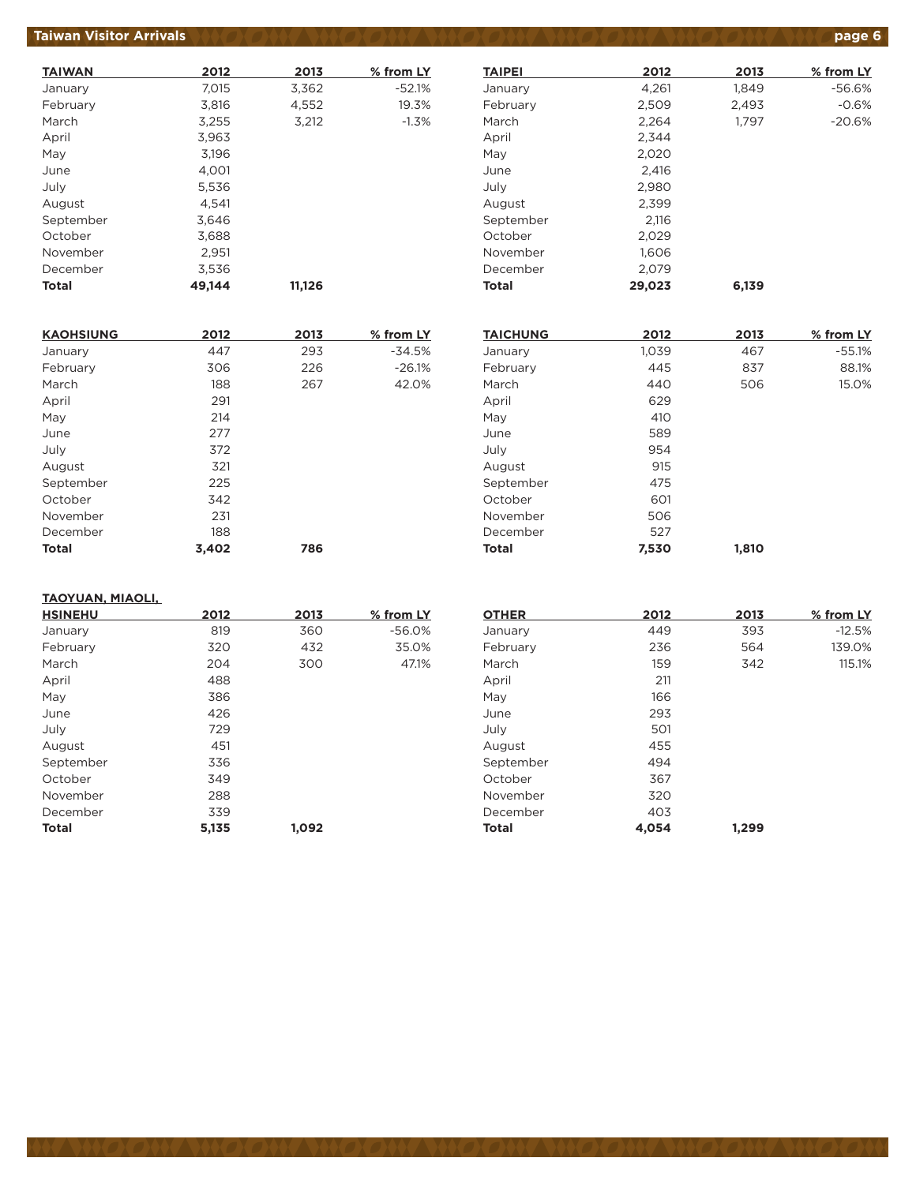#### **Taiwan Visitor Arrivals page 6**

| <b>TAIWAN</b> | 2012   | 2013   | % from LY |
|---------------|--------|--------|-----------|
| January       | 7,015  | 3,362  | $-52.1%$  |
| February      | 3,816  | 4,552  | 19.3%     |
| March         | 3,255  | 3,212  | $-1.3%$   |
| April         | 3,963  |        |           |
| May           | 3,196  |        |           |
| June          | 4,001  |        |           |
| July          | 5,536  |        |           |
| August        | 4.541  |        |           |
| September     | 3.646  |        |           |
| October       | 3,688  |        |           |
| November      | 2,951  |        |           |
| December      | 3,536  |        |           |
| Total         | 49.144 | 11.126 |           |

| <b>KAOHSIUNG</b> | 2012  | 2013 | % from LY |
|------------------|-------|------|-----------|
| January          | 447   | 293  | $-34.5%$  |
| February         | 306   | 226  | $-26.1%$  |
| March            | 188   | 267  | 42.0%     |
| April            | 291   |      |           |
| May              | 214   |      |           |
| June             | 277   |      |           |
| July             | 372   |      |           |
| August           | 321   |      |           |
| September        | 225   |      |           |
| October          | 342   |      |           |
| November         | 231   |      |           |
| December         | 188   |      |           |
| <b>Total</b>     | 3.402 | 786  |           |

#### January 1,261 1,849 -56.6% February 2,509 2,493 -0.6% March 2,264 1,797 -20.6% April 2,344 May 2,020 June 2,416 July 2,980 August 2,399 September 2,116 October 2,029 November 1,606 December 2,079 **Total 29,023 6,139**

**TAIPEI 2012 2013 % from LY**

| <b>TAICHUNG</b> | 2012  | 2013  | % from LY |
|-----------------|-------|-------|-----------|
| January         | 1,039 | 467   | $-55.1%$  |
| February        | 445   | 837   | 88.1%     |
| March           | 440   | 506   | 15.0%     |
| April           | 629   |       |           |
| May             | 410   |       |           |
| June            | 589   |       |           |
| July            | 954   |       |           |
| August          | 915   |       |           |
| September       | 475   |       |           |
| October         | 601   |       |           |
| November        | 506   |       |           |
| December        | 527   |       |           |
| <b>Total</b>    | 7,530 | 1.810 |           |

#### **TAOYUAN, MIAOLI,**

| <b>HSINEHU</b> | 2012  | 2013  | % from LY |
|----------------|-------|-------|-----------|
| January        | 819   | 360   | $-56.0%$  |
| February       | 320   | 432   | 35.0%     |
| March          | 204   | 300   | 47.1%     |
| April          | 488   |       |           |
| May            | 386   |       |           |
| June           | 426   |       |           |
| July           | 729   |       |           |
| August         | 451   |       |           |
| September      | 336   |       |           |
| October        | 349   |       |           |
| November       | 288   |       |           |
| December       | 339   |       |           |
| <b>Total</b>   | 5,135 | 1,092 |           |

| 2012  | 2013  | % from LY |
|-------|-------|-----------|
| 449   | 393   | $-12.5%$  |
| 236   | 564   | 139.0%    |
| 159   | 342   | 115.1%    |
| 211   |       |           |
| 166   |       |           |
| 293   |       |           |
| 501   |       |           |
| 455   |       |           |
| 494   |       |           |
| 367   |       |           |
| 320   |       |           |
| 403   |       |           |
| 4.054 | 1.299 |           |
|       |       |           |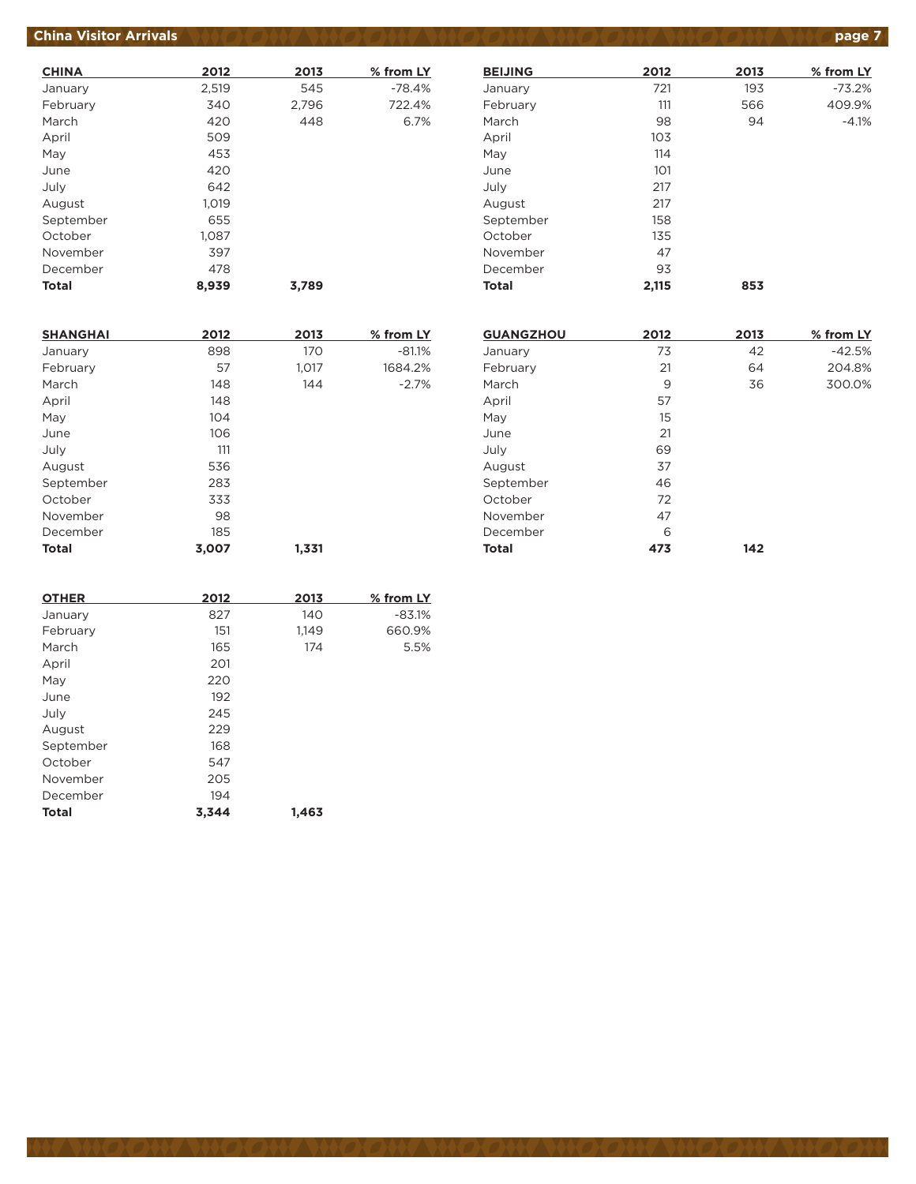# **China Visitor Arrivals page 7**

| <b>CHINA</b> | 2012  | 2013  | % from LY |
|--------------|-------|-------|-----------|
| January      | 2,519 | 545   | $-78.4%$  |
| February     | 340   | 2,796 | 722.4%    |
| March        | 420   | 448   | 6.7%      |
| April        | 509   |       |           |
| May          | 453   |       |           |
| June         | 420   |       |           |
| July         | 642   |       |           |
| August       | 1,019 |       |           |
| September    | 655   |       |           |
| October      | 1.087 |       |           |
| November     | 397   |       |           |
| December     | 478   |       |           |
| <b>Total</b> | 8.939 | 3.789 |           |

| <b>BEIJING</b> | 2012  | 2013 | % from LY |
|----------------|-------|------|-----------|
| January        | 721   | 193  | $-73.2%$  |
| February       | 111   | 566  | 409.9%    |
| March          | 98    | 94   | $-4.1%$   |
| April          | 103   |      |           |
| May            | 114   |      |           |
| June           | 101   |      |           |
| July           | 217   |      |           |
| August         | 217   |      |           |
| September      | 158   |      |           |
| October        | 135   |      |           |
| November       | 47    |      |           |
| December       | 93    |      |           |
| Total          | 2,115 | 853  |           |

| <b>SHANGHAI</b> | 2012  | 2013  | % from LY |
|-----------------|-------|-------|-----------|
| January         | 898   | 170   | $-81.1%$  |
| February        | 57    | 1,017 | 1684.2%   |
| March           | 148   | 144   | $-2.7%$   |
| April           | 148   |       |           |
| May             | 104   |       |           |
| June            | 106   |       |           |
| July            | 111   |       |           |
| August          | 536   |       |           |
| September       | 283   |       |           |
| October         | 333   |       |           |
| November        | 98    |       |           |
| December        | 185   |       |           |
| <b>Total</b>    | 3,007 | 1.331 |           |

| <b>GUANGZHOU</b> | 2012 | 2013 | % from LY |
|------------------|------|------|-----------|
| January          | 73   | 42   | $-42.5%$  |
| February         | 21   | 64   | 204.8%    |
| March            | 9    | 36   | 300.0%    |
| April            | 57   |      |           |
| May              | 15   |      |           |
| June             | 21   |      |           |
| July             | 69   |      |           |
| August           | 37   |      |           |
| September        | 46   |      |           |
| October          | 72   |      |           |
| November         | 47   |      |           |
| December         | 6    |      |           |
| <b>Total</b>     | 473  | 142  |           |

| <b>OTHER</b> | 2012  | 2013  | % from LY |
|--------------|-------|-------|-----------|
| January      | 827   | 140   | $-83.1%$  |
| February     | 151   | 1,149 | 660.9%    |
| March        | 165   | 174   | 5.5%      |
| April        | 201   |       |           |
| May          | 220   |       |           |
| June         | 192   |       |           |
| July         | 245   |       |           |
| August       | 229   |       |           |
| September    | 168   |       |           |
| October      | 547   |       |           |
| November     | 205   |       |           |
| December     | 194   |       |           |
| <b>Total</b> | 3,344 | 1,463 |           |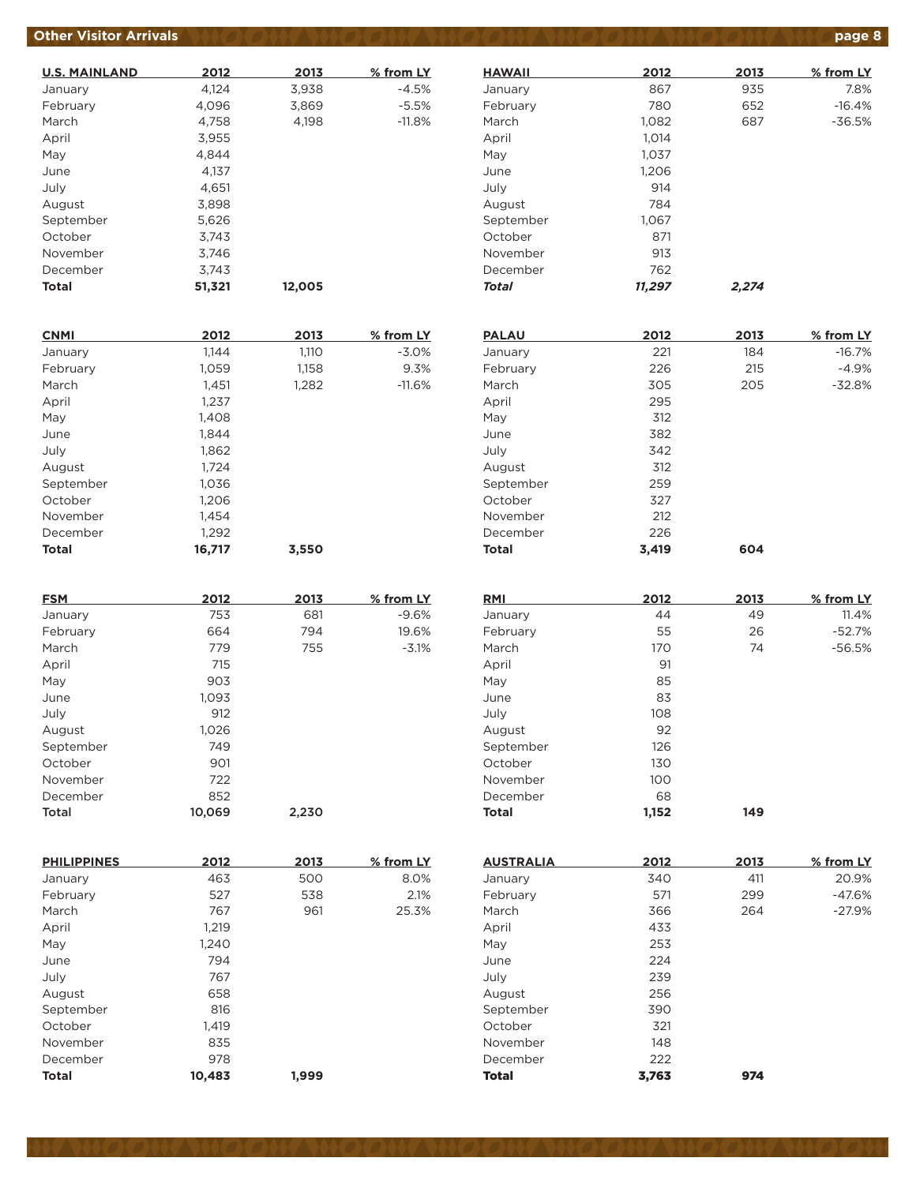## **Other Visitor Arrivals** *AND ON AND ON ON AND ON AND ON AND ON AND ON AND ON AND Page 8*

| <b>U.S. MAINLAND</b> | 2012   | 2013   | % from LY |
|----------------------|--------|--------|-----------|
| January              | 4,124  | 3,938  | $-4.5%$   |
| February             | 4,096  | 3,869  | $-5.5%$   |
| March                | 4.758  | 4,198  | $-11.8%$  |
| April                | 3,955  |        |           |
| May                  | 4.844  |        |           |
| June                 | 4.137  |        |           |
| July                 | 4,651  |        |           |
| August               | 3,898  |        |           |
| September            | 5,626  |        |           |
| October              | 3.743  |        |           |
| November             | 3.746  |        |           |
| December             | 3.743  |        |           |
| Total                | 51,321 | 12,005 |           |

| <b>CNMI</b>  | 2012   | 2013  | % from LY |
|--------------|--------|-------|-----------|
| January      | 1,144  | 1,110 | $-3.0%$   |
| February     | 1,059  | 1,158 | 9.3%      |
| March        | 1,451  | 1,282 | $-11.6%$  |
| April        | 1,237  |       |           |
| May          | 1,408  |       |           |
| June         | 1,844  |       |           |
| July         | 1,862  |       |           |
| August       | 1,724  |       |           |
| September    | 1,036  |       |           |
| October      | 1,206  |       |           |
| November     | 1.454  |       |           |
| December     | 1,292  |       |           |
| <b>Total</b> | 16,717 | 3.550 |           |

| <b>FSM</b> | 2012   | 2013  | % from LY |
|------------|--------|-------|-----------|
| January    | 753    | 681   | $-9.6%$   |
| February   | 664    | 794   | 19.6%     |
| March      | 779    | 755   | $-3.1%$   |
| April      | 715    |       |           |
| May        | 903    |       |           |
| June       | 1,093  |       |           |
| July       | 912    |       |           |
| August     | 1,026  |       |           |
| September  | 749    |       |           |
| October    | 901    |       |           |
| November   | 722    |       |           |
| December   | 852    |       |           |
| Total      | 10,069 | 2,230 |           |

| <b>PHILIPPINES</b> | 2012   | 2013  | % from LY |
|--------------------|--------|-------|-----------|
| January            | 463    | 500   | 8.0%      |
| February           | 527    | 538   | 2.1%      |
| March              | 767    | 961   | 25.3%     |
| April              | 1,219  |       |           |
| May                | 1,240  |       |           |
| June               | 794    |       |           |
| July               | 767    |       |           |
| August             | 658    |       |           |
| September          | 816    |       |           |
| October            | 1,419  |       |           |
| November           | 835    |       |           |
| December           | 978    |       |           |
| <b>Total</b>       | 10,483 | 1.999 |           |

| <b>HAWAII</b> | 2012   | 2013  | % from LY |
|---------------|--------|-------|-----------|
| January       | 867    | 935   | 7.8%      |
| February      | 780    | 652   | $-16.4%$  |
| March         | 1.082  | 687   | $-36.5%$  |
| April         | 1,014  |       |           |
| May           | 1,037  |       |           |
| June          | 1,206  |       |           |
| July          | 914    |       |           |
| August        | 784    |       |           |
| September     | 1,067  |       |           |
| October       | 871    |       |           |
| November      | 913    |       |           |
| December      | 762    |       |           |
| <b>Total</b>  | 11,297 | 2,274 |           |

| <b>PALAU</b> | 2012  | 2013 | % from LY |
|--------------|-------|------|-----------|
| January      | 221   | 184  | $-16.7%$  |
| February     | 226   | 215  | $-4.9%$   |
| March        | 305   | 205  | $-32.8%$  |
| April        | 295   |      |           |
| May          | 312   |      |           |
| June         | 382   |      |           |
| July         | 342   |      |           |
| August       | 312   |      |           |
| September    | 259   |      |           |
| October      | 327   |      |           |
| November     | 212   |      |           |
| December     | 226   |      |           |
| <b>Total</b> | 3.419 | 604  |           |

| <b>RMI</b>   | 2012  | 2013 | % from LY |
|--------------|-------|------|-----------|
| January      | 44    | 49   | 11.4%     |
| February     | 55    | 26   | $-52.7%$  |
| March        | 170   | 74   | $-56.5%$  |
| April        | 91    |      |           |
| May          | 85    |      |           |
| June         | 83    |      |           |
| July         | 108   |      |           |
| August       | 92    |      |           |
| September    | 126   |      |           |
| October      | 130   |      |           |
| November     | 100   |      |           |
| December     | 68    |      |           |
| <b>Total</b> | 1,152 | 149  |           |

| <b>AUSTRALIA</b> | 2012  | 2013 | % from LY |
|------------------|-------|------|-----------|
| January          | 340   | 411  | 20.9%     |
| February         | 571   | 299  | $-47.6%$  |
| March            | 366   | 264  | $-27.9%$  |
| April            | 433   |      |           |
| May              | 253   |      |           |
| June             | 224   |      |           |
| July             | 239   |      |           |
| August           | 256   |      |           |
| September        | 390   |      |           |
| October          | 321   |      |           |
| November         | 148   |      |           |
| December         | 222   |      |           |
| <b>Total</b>     | 3.763 | 974  |           |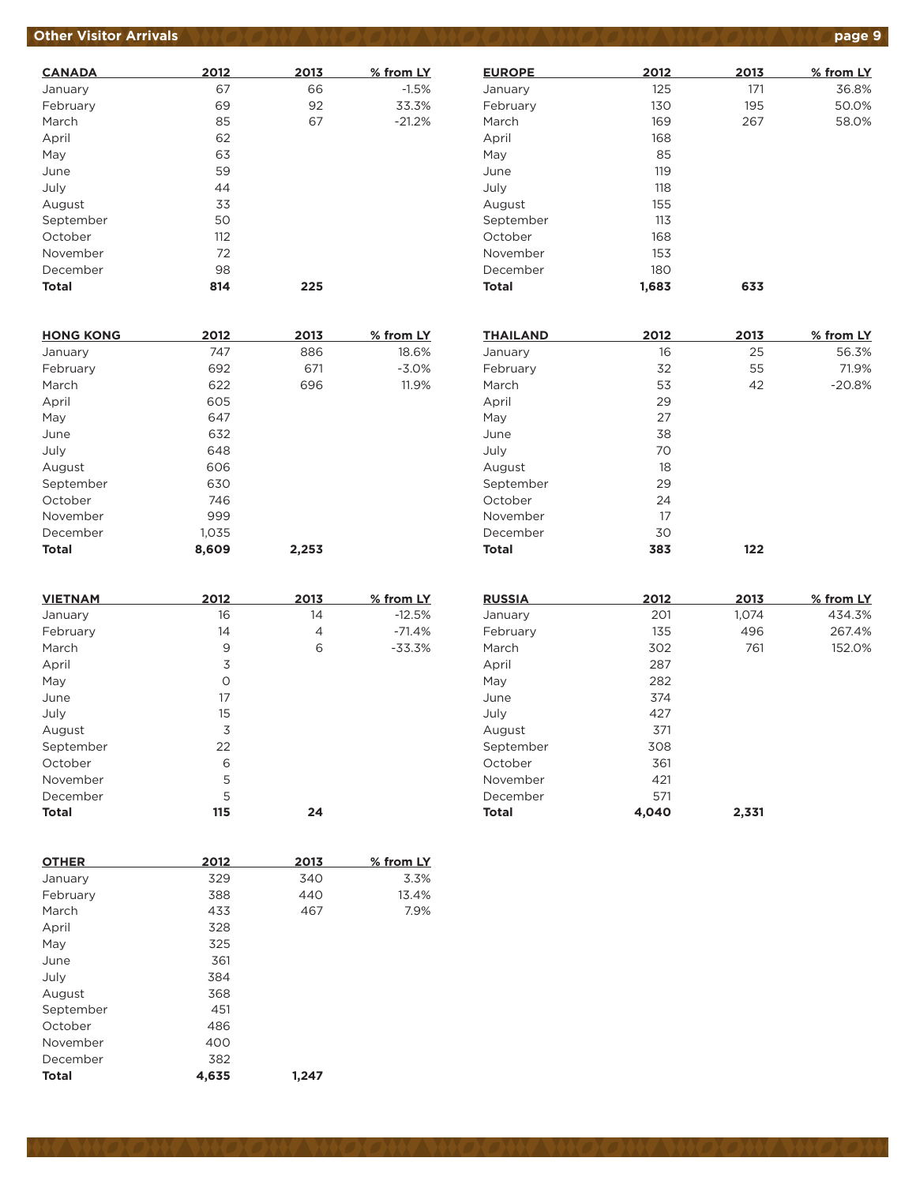## **Other Visitor Arrivals produce to the state of the state of the state of the state of the state of the state of the state of the state of the state of the state of the state of the state of the state of the state of the**

| <b>CANADA</b> | 2012 | 2013 | % from LY |
|---------------|------|------|-----------|
| January       | 67   | 66   | $-1.5%$   |
| February      | 69   | 92   | 33.3%     |
| March         | 85   | 67   | $-21.2%$  |
| April         | 62   |      |           |
| May           | 63   |      |           |
| June          | 59   |      |           |
| July          | 44   |      |           |
| August        | 33   |      |           |
| September     | 50   |      |           |
| October       | 112  |      |           |
| November      | 72   |      |           |
| December      | 98   |      |           |
| <b>Total</b>  | 814  | 225  |           |

| <b>HONG KONG</b> | 2012  | 2013  | % from LY |
|------------------|-------|-------|-----------|
| January          | 747   | 886   | 18.6%     |
| February         | 692   | 671   | $-3.0%$   |
| March            | 622   | 696   | 11.9%     |
| April            | 605   |       |           |
| May              | 647   |       |           |
| June             | 632   |       |           |
| July             | 648   |       |           |
| August           | 606   |       |           |
| September        | 630   |       |           |
| October          | 746   |       |           |
| November         | 999   |       |           |
| December         | 1,035 |       |           |
| <b>Total</b>     | 8.609 | 2,253 |           |

| <b>VIETNAM</b> | 2012 | 2013 | % from LY |
|----------------|------|------|-----------|
| January        | 16   | 14   | $-12.5%$  |
| February       | 14   | 4    | $-71.4%$  |
| March          | 9    | 6    | $-33.3%$  |
| April          | 3    |      |           |
| May            | O    |      |           |
| June           | 17   |      |           |
| July           | 15   |      |           |
| August         | 3    |      |           |
| September      | 22   |      |           |
| October        | 6    |      |           |
| November       | 5    |      |           |
| December       | 5    |      |           |
| <b>Total</b>   | 115  | 24   |           |

| <b>OTHER</b> | 2012  | 2013  | % from LY |
|--------------|-------|-------|-----------|
| January      | 329   | 340   | 3.3%      |
| February     | 388   | 440   | 13.4%     |
| March        | 433   | 467   | 7.9%      |
| April        | 328   |       |           |
| May          | 325   |       |           |
| June         | 361   |       |           |
| July         | 384   |       |           |
| August       | 368   |       |           |
| September    | 451   |       |           |
| October      | 486   |       |           |
| November     | 400   |       |           |
| December     | 382   |       |           |
| <b>Total</b> | 4.635 | 1,247 |           |

| 2012  | 2013 | % from LY |
|-------|------|-----------|
| 125   | 171  | 36.8%     |
| 130   | 195  | 50.0%     |
| 169   | 267  | 58.0%     |
| 168   |      |           |
| 85    |      |           |
| 119   |      |           |
| 118   |      |           |
| 155   |      |           |
| 113   |      |           |
| 168   |      |           |
| 153   |      |           |
| 180   |      |           |
| 1,683 | 633  |           |
|       |      |           |

| <b>THAILAND</b> | 2012 | 2013 | % from LY |
|-----------------|------|------|-----------|
| January         | 16   | 25   | 56.3%     |
| February        | 32   | 55   | 71.9%     |
| March           | 53   | 42   | $-20.8%$  |
| April           | 29   |      |           |
| May             | 27   |      |           |
| June            | 38   |      |           |
| July            | 70   |      |           |
| August          | 18   |      |           |
| September       | 29   |      |           |
| October         | 24   |      |           |
| November        | 17   |      |           |
| December        | 30   |      |           |
| <b>Total</b>    | 383  | 122  |           |

| <b>RUSSIA</b> | 2012  | 2013  | % from LY |
|---------------|-------|-------|-----------|
| January       | 201   | 1,074 | 434.3%    |
| February      | 135   | 496   | 267.4%    |
| March         | 302   | 761   | 152.0%    |
| April         | 287   |       |           |
| May           | 282   |       |           |
| June          | 374   |       |           |
| July          | 427   |       |           |
| August        | 371   |       |           |
| September     | 308   |       |           |
| October       | 361   |       |           |
| November      | 421   |       |           |
| December      | 571   |       |           |
| <b>Total</b>  | 4,040 | 2,331 |           |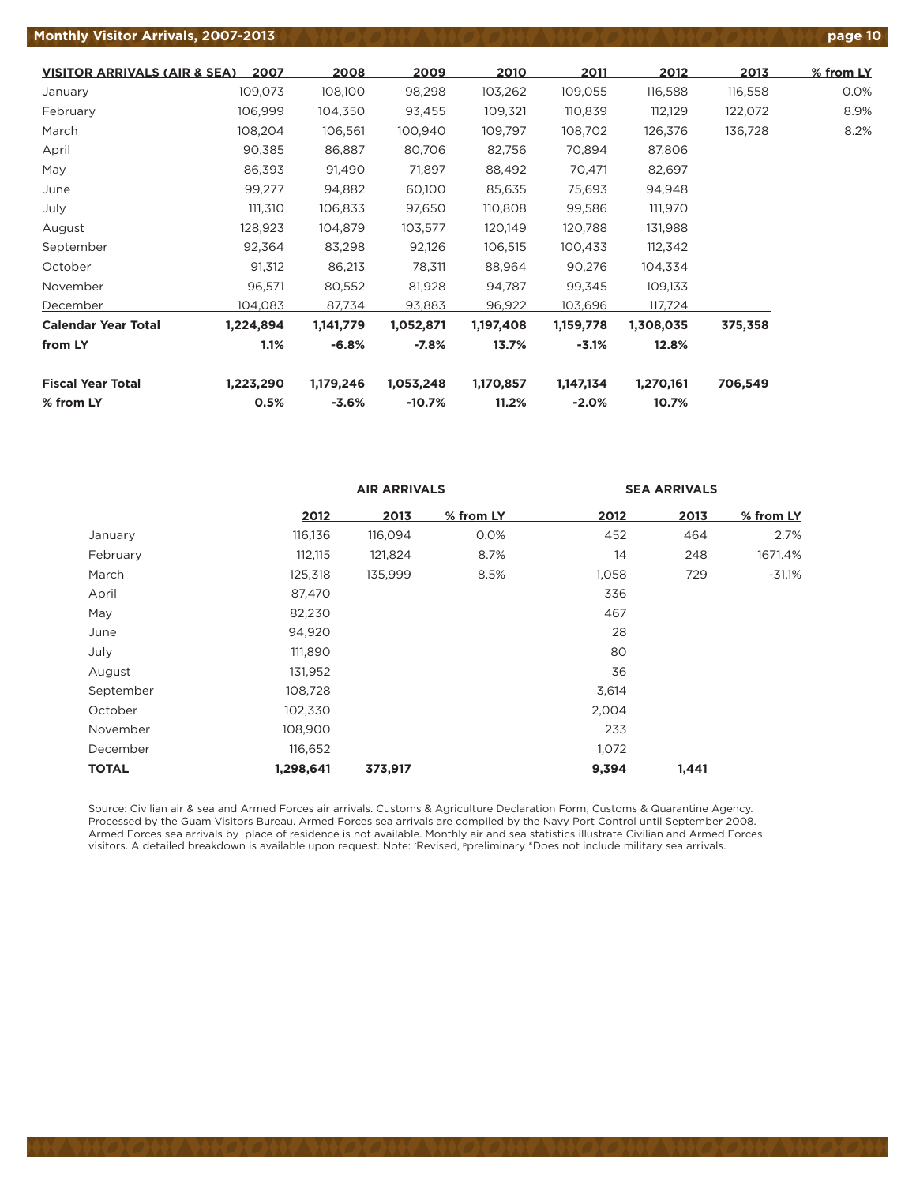#### **Monthly Visitor Arrivals, 2007-2013 poter 10 page 10 page 10 page 10 page 10 page 10 page 10 page 10**

**VISITOR ARRIVALS (AIR & SEA) 2007 2008 2009 2010 2011 2012 2013 % from LY** January 109,073 108,100 98,298 103,262 109,055 116,588 116,558 0.0% February 106,999 104,350 93,455 109,321 110,839 112,129 122,072 8.9% March 108,204 106,561 100,940 109,797 108,702 126,376 136,728 8.2% April 90,385 86,887 80,706 82,756 70,894 87,806 May 86,393 91,490 71,897 88,492 70,471 82,697 June 99,277 94,882 60,100 85,635 75,693 94,948 July 111,310 106,833 97,650 110,808 99,586 111,970 August 128,923 104,879 103,577 120,149 120,788 131,988 September 92,364 83,298 92,126 106,515 100,433 112,342 October 91,312 86,213 78,311 88,964 90,276 104,334 November 96,571 80,552 81,928 94,787 99,345 109,133 December 104,083 87,734 93,883 96,922 103,696 117,724 **Calendar Year Total 1,224,894 1,141,779 1,052,871 1,197,408 1,159,778 1,308,035 375,358 from LY 1.1% -6.8% -7.8% 13.7% -3.1% 12.8% Fiscal Year Total 1,223,290 1,179,246 1,053,248 1,170,857 1,147,134 1,270,161 706,549 % from LY 0.5% -3.6% -10.7% 11.2% -2.0% 10.7%**

|              |           | <b>AIR ARRIVALS</b> |           | <b>SEA ARRIVALS</b> |       |           |  |
|--------------|-----------|---------------------|-----------|---------------------|-------|-----------|--|
|              | 2012      | 2013                | % from LY | 2012                | 2013  | % from LY |  |
| January      | 116,136   | 116,094             | 0.0%      | 452                 | 464   | 2.7%      |  |
| February     | 112,115   | 121,824             | 8.7%      | 14                  | 248   | 1671.4%   |  |
| March        | 125,318   | 135,999             | 8.5%      | 1,058               | 729   | $-31.1%$  |  |
| April        | 87,470    |                     |           | 336                 |       |           |  |
| May          | 82,230    |                     |           | 467                 |       |           |  |
| June         | 94,920    |                     |           | 28                  |       |           |  |
| July         | 111,890   |                     |           | 80                  |       |           |  |
| August       | 131,952   |                     |           | 36                  |       |           |  |
| September    | 108,728   |                     |           | 3,614               |       |           |  |
| October      | 102,330   |                     |           | 2,004               |       |           |  |
| November     | 108,900   |                     |           | 233                 |       |           |  |
| December     | 116,652   |                     |           | 1,072               |       |           |  |
| <b>TOTAL</b> | 1,298,641 | 373,917             |           | 9,394               | 1,441 |           |  |

Source: Civilian air & sea and Armed Forces air arrivals. Customs & Agriculture Declaration Form, Customs & Quarantine Agency. Processed by the Guam Visitors Bureau. Armed Forces sea arrivals are compiled by the Navy Port Control until September 2008. Armed Forces sea arrivals by place of residence is not available. Monthly air and sea statistics illustrate Civilian and Armed Forces visitors. A detailed breakdown is available upon request. Note: r Revised, ppreliminary \*Does not include military sea arrivals.